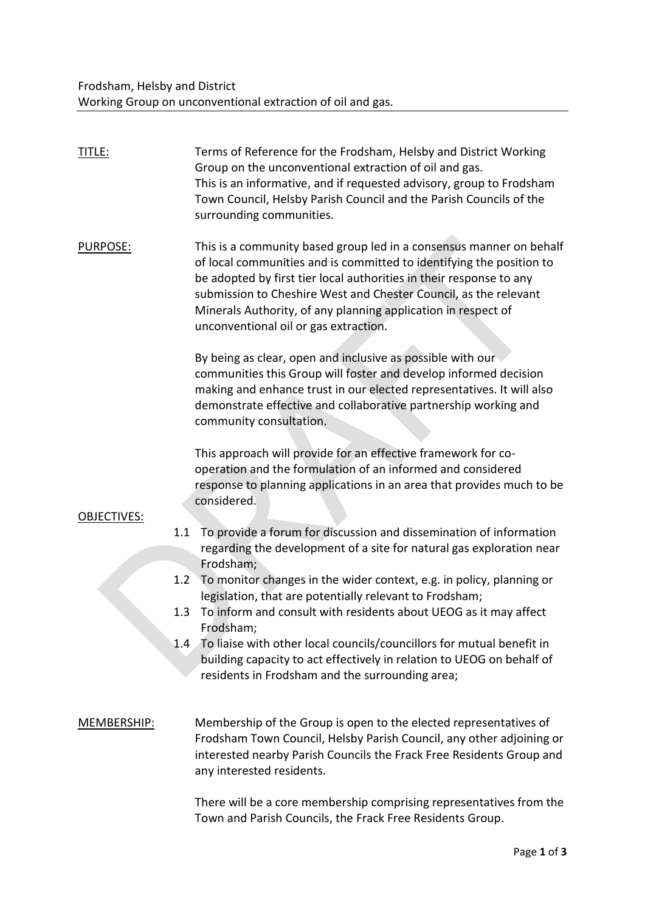| TITLE:             | Terms of Reference for the Frodsham, Helsby and District Working<br>Group on the unconventional extraction of oil and gas.<br>This is an informative, and if requested advisory, group to Frodsham<br>Town Council, Helsby Parish Council and the Parish Councils of the<br>surrounding communities.                                                                                             |
|--------------------|--------------------------------------------------------------------------------------------------------------------------------------------------------------------------------------------------------------------------------------------------------------------------------------------------------------------------------------------------------------------------------------------------|
| PURPOSE:           | This is a community based group led in a consensus manner on behalf<br>of local communities and is committed to identifying the position to<br>be adopted by first tier local authorities in their response to any<br>submission to Cheshire West and Chester Council, as the relevant<br>Minerals Authority, of any planning application in respect of<br>unconventional oil or gas extraction. |
|                    | By being as clear, open and inclusive as possible with our<br>communities this Group will foster and develop informed decision<br>making and enhance trust in our elected representatives. It will also<br>demonstrate effective and collaborative partnership working and<br>community consultation.                                                                                            |
| <b>OBJECTIVES:</b> | This approach will provide for an effective framework for co-<br>operation and the formulation of an informed and considered<br>response to planning applications in an area that provides much to be<br>considered.                                                                                                                                                                             |
|                    | To provide a forum for discussion and dissemination of information<br>1.1<br>regarding the development of a site for natural gas exploration near<br>Frodsham;                                                                                                                                                                                                                                   |
|                    | To monitor changes in the wider context, e.g. in policy, planning or<br>1.2<br>legislation, that are potentially relevant to Frodsham;<br>To inform and consult with residents about UEOG as it may affect<br>1.3<br>Frodsham;                                                                                                                                                                   |
|                    | To liaise with other local councils/councillors for mutual benefit in<br>1.4<br>building capacity to act effectively in relation to UEOG on behalf of<br>residents in Frodsham and the surrounding area;                                                                                                                                                                                         |
| MEMBERSHIP:        | Membership of the Group is open to the elected representatives of<br>Frodsham Town Council, Helsby Parish Council, any other adjoining or<br>interested nearby Parish Councils the Frack Free Residents Group and<br>any interested residents.                                                                                                                                                   |
|                    | There will be a core membership comprising representatives from the<br>Town and Parish Councils, the Frack Free Residents Group.                                                                                                                                                                                                                                                                 |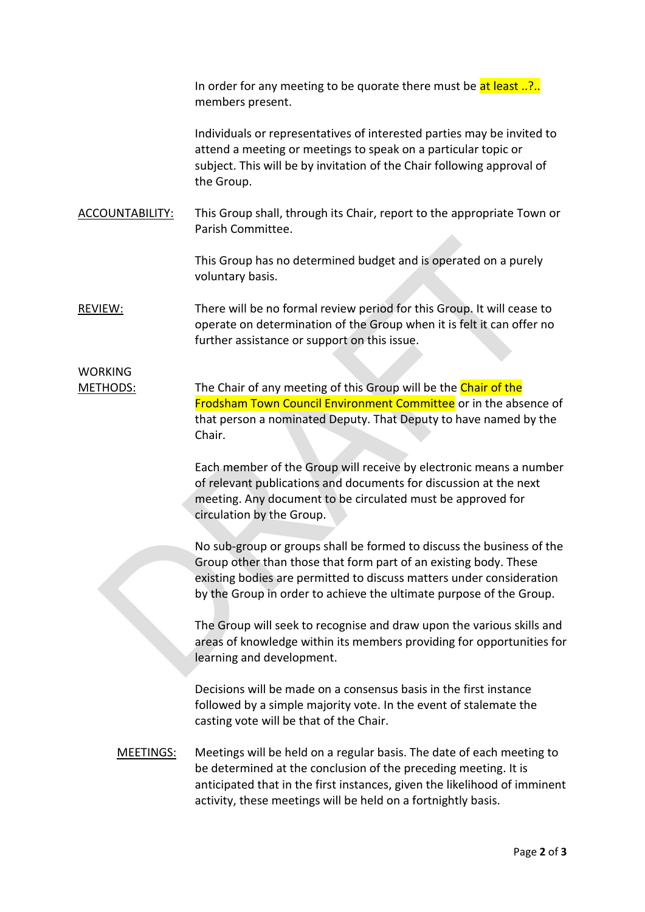In order for any meeting to be quorate there must be  $at$  least  $\ldots$ ?.. members present.

Individuals or representatives of interested parties may be invited to attend a meeting or meetings to speak on a particular topic or subject. This will be by invitation of the Chair following approval of the Group.

ACCOUNTABILITY: This Group shall, through its Chair, report to the appropriate Town or Parish Committee.

> This Group has no determined budget and is operated on a purely voluntary basis.

REVIEW: There will be no formal review period for this Group. It will cease to operate on determination of the Group when it is felt it can offer no further assistance or support on this issue.

## WORKING

METHODS: The Chair of any meeting of this Group will be the Chair of the Frodsham Town Council Environment Committee or in the absence of that person a nominated Deputy. That Deputy to have named by the Chair.

> Each member of the Group will receive by electronic means a number of relevant publications and documents for discussion at the next meeting. Any document to be circulated must be approved for circulation by the Group.

> No sub-group or groups shall be formed to discuss the business of the Group other than those that form part of an existing body. These existing bodies are permitted to discuss matters under consideration by the Group in order to achieve the ultimate purpose of the Group.

> The Group will seek to recognise and draw upon the various skills and areas of knowledge within its members providing for opportunities for learning and development.

Decisions will be made on a consensus basis in the first instance followed by a simple majority vote. In the event of stalemate the casting vote will be that of the Chair.

MEETINGS: Meetings will be held on a regular basis. The date of each meeting to be determined at the conclusion of the preceding meeting. It is anticipated that in the first instances, given the likelihood of imminent activity, these meetings will be held on a fortnightly basis.